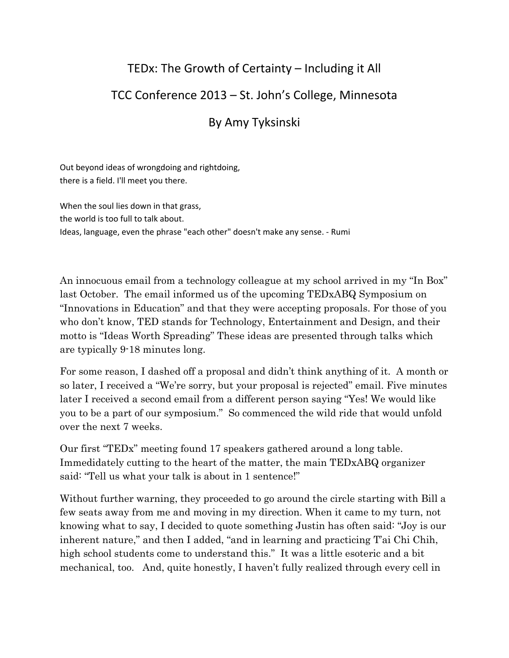## TEDx: The Growth of Certainty – Including it All

## TCC Conference 2013 – St. John's College, Minnesota

## By Amy Tyksinski

Out beyond ideas of wrongdoing and rightdoing, there is a field. I'll meet you there.

When the soul lies down in that grass, the world is too full to talk about. Ideas, language, even the phrase "each other" doesn't make any sense. - Rumi

An innocuous email from a technology colleague at my school arrived in my "In Box" last October. The email informed us of the upcoming TEDxABQ Symposium on "Innovations in Education" and that they were accepting proposals. For those of you who don't know, TED stands for Technology, Entertainment and Design, and their motto is "Ideas Worth Spreading" These ideas are presented through talks which are typically 9-18 minutes long.

For some reason, I dashed off a proposal and didn't think anything of it. A month or so later, I received a "We're sorry, but your proposal is rejected" email. Five minutes later I received a second email from a different person saying "Yes! We would like you to be a part of our symposium." So commenced the wild ride that would unfold over the next 7 weeks.

Our first "TEDx" meeting found 17 speakers gathered around a long table. Immedidately cutting to the heart of the matter, the main TEDxABQ organizer said: "Tell us what your talk is about in 1 sentence!"

Without further warning, they proceeded to go around the circle starting with Bill a few seats away from me and moving in my direction. When it came to my turn, not knowing what to say, I decided to quote something Justin has often said: "Joy is our inherent nature," and then I added, "and in learning and practicing T'ai Chi Chih, high school students come to understand this." It was a little esoteric and a bit mechanical, too. And, quite honestly, I haven't fully realized through every cell in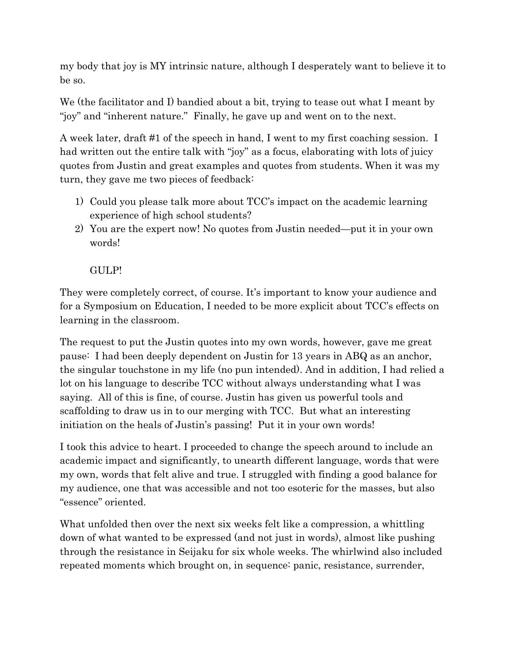my body that joy is MY intrinsic nature, although I desperately want to believe it to be so.

We (the facilitator and I) bandied about a bit, trying to tease out what I meant by "joy" and "inherent nature." Finally, he gave up and went on to the next.

A week later, draft #1 of the speech in hand, I went to my first coaching session. I had written out the entire talk with "joy" as a focus, elaborating with lots of juicy quotes from Justin and great examples and quotes from students. When it was my turn, they gave me two pieces of feedback:

- 1) Could you please talk more about TCC's impact on the academic learning experience of high school students?
- 2) You are the expert now! No quotes from Justin needed—put it in your own words!

GULP!

They were completely correct, of course. It's important to know your audience and for a Symposium on Education, I needed to be more explicit about TCC's effects on learning in the classroom.

The request to put the Justin quotes into my own words, however, gave me great pause: I had been deeply dependent on Justin for 13 years in ABQ as an anchor, the singular touchstone in my life (no pun intended). And in addition, I had relied a lot on his language to describe TCC without always understanding what I was saying. All of this is fine, of course. Justin has given us powerful tools and scaffolding to draw us in to our merging with TCC. But what an interesting initiation on the heals of Justin's passing! Put it in your own words!

I took this advice to heart. I proceeded to change the speech around to include an academic impact and significantly, to unearth different language, words that were my own, words that felt alive and true. I struggled with finding a good balance for my audience, one that was accessible and not too esoteric for the masses, but also "essence" oriented.

What unfolded then over the next six weeks felt like a compression, a whittling down of what wanted to be expressed (and not just in words), almost like pushing through the resistance in Seijaku for six whole weeks. The whirlwind also included repeated moments which brought on, in sequence: panic, resistance, surrender,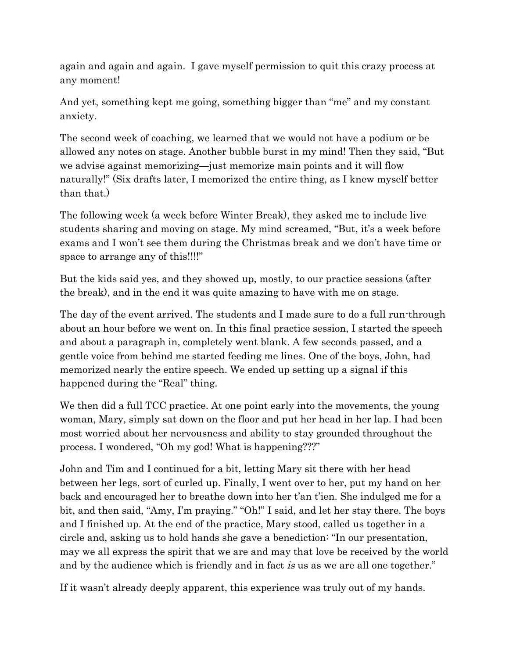again and again and again. I gave myself permission to quit this crazy process at any moment!

And yet, something kept me going, something bigger than "me" and my constant anxiety.

The second week of coaching, we learned that we would not have a podium or be allowed any notes on stage. Another bubble burst in my mind! Then they said, "But we advise against memorizing—just memorize main points and it will flow naturally!" (Six drafts later, I memorized the entire thing, as I knew myself better than that.)

The following week (a week before Winter Break), they asked me to include live students sharing and moving on stage. My mind screamed, "But, it's a week before exams and I won't see them during the Christmas break and we don't have time or space to arrange any of this!!!!"

But the kids said yes, and they showed up, mostly, to our practice sessions (after the break), and in the end it was quite amazing to have with me on stage.

The day of the event arrived. The students and I made sure to do a full run-through about an hour before we went on. In this final practice session, I started the speech and about a paragraph in, completely went blank. A few seconds passed, and a gentle voice from behind me started feeding me lines. One of the boys, John, had memorized nearly the entire speech. We ended up setting up a signal if this happened during the "Real" thing.

We then did a full TCC practice. At one point early into the movements, the young woman, Mary, simply sat down on the floor and put her head in her lap. I had been most worried about her nervousness and ability to stay grounded throughout the process. I wondered, "Oh my god! What is happening???"

John and Tim and I continued for a bit, letting Mary sit there with her head between her legs, sort of curled up. Finally, I went over to her, put my hand on her back and encouraged her to breathe down into her t'an t'ien. She indulged me for a bit, and then said, "Amy, I'm praying." "Oh!" I said, and let her stay there. The boys and I finished up. At the end of the practice, Mary stood, called us together in a circle and, asking us to hold hands she gave a benediction: "In our presentation, may we all express the spirit that we are and may that love be received by the world and by the audience which is friendly and in fact is us as we are all one together."

If it wasn't already deeply apparent, this experience was truly out of my hands.